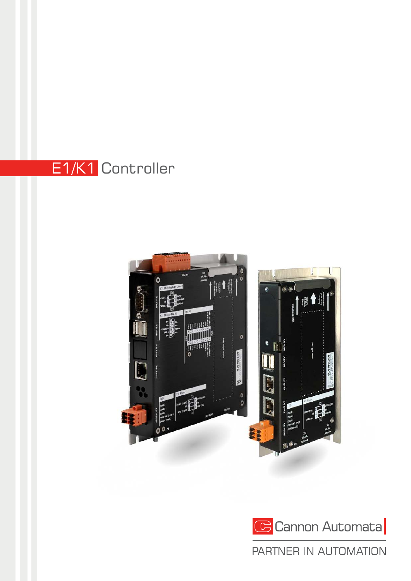## E1/K1 Controller





### PARTNER IN AUTOMATION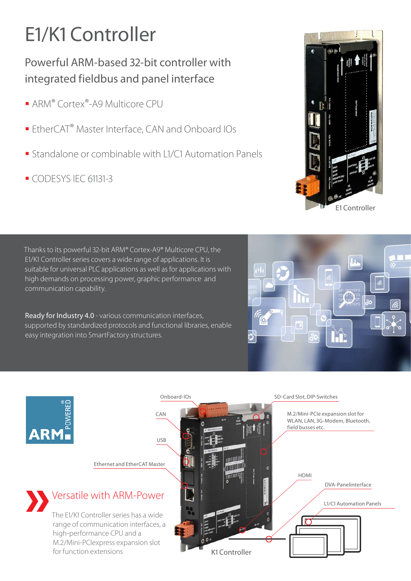## E1/K1 Controller

### Powerful ARM-based 32-bit controller with integrated fieldbus and panel interface

- ARM® Cortex®-A9 Multicore CPU
- **EtherCAT<sup>®</sup> Master Interface, CAN and Onboard IOs**
- **Standalone or combinable with L1/C1 Automation Panels**
- CODESYS IEC 61131-3

Thanks to its powerful 32-bit ARM® Cortex-A9® Multicore CPU, the E1/K1 Controller series covers a wide range of applications. It is suitable for universal PLC applications as well as for applications with high demands on processing power, graphic performance and communication capability.

Ready for Industry 4.0 - various communication interfaces, supported by standardized protocols and functional libraries, enable easy integration into SmartFactory structures.





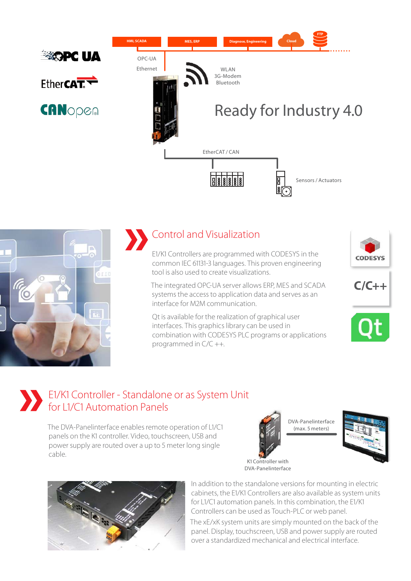



# **»** Control and Visualization

E1/K1 Controllers are programmed with CODESYS in the common IEC 61131-3 languages. This proven engineering tool is also used to create visualizations.

The integrated OPC-UA server allows ERP, MES and SCADA systems the access to application data and serves as an interface for M2M communication.

Qt is available for the realization of graphical user interfaces. This graphics library can be used in combination with CODESYS PLC programs or applications programmed in C/C ++.







### **»** E1/K1 Controller - Standalone or as System Unit for L1/C1 Automation Panels

The DVA-Panelinterface enables remote operation of L1/C1 panels on the K1 controller. Video, touchscreen, USB and power supply are routed over a up to 5 meter long single cable.



K1 Controller with







In addition to the standalone versions for mounting in electric cabinets, the E1/K1 Controllers are also available as system units for L1/C1 automation panels. In this combination, the E1/K1 Controllers can be used as Touch-PLC or web panel.

The xE/xK system units are simply mounted on the back of the panel. Display, touchscreen, USB and power supply are routed over a standardized mechanical and electrical interface.